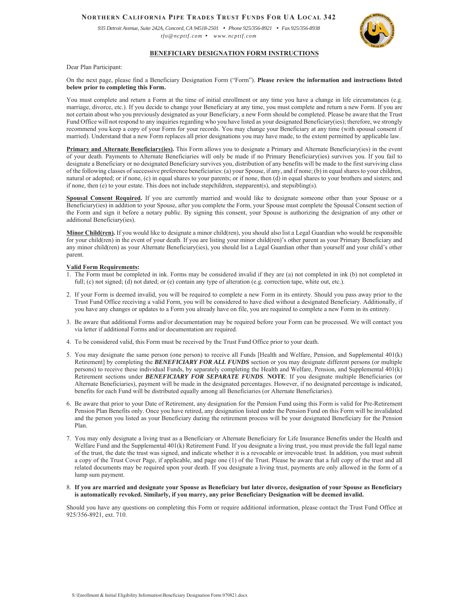# **NORTHERN CALIFORNIA PIPE TRADES TRUST FUNDS FOR UA LOCAL 342**

*935 Detroit Avenue, Suite 242A, Concord, CA 94518-2501* <sup>y</sup> *Phone 925/356-8921* <sup>y</sup> *Fax 925/356-8938 tfo@ncpttf.com* <sup>y</sup> *www.ncpttf.com*



## **BENEFICIARY DESIGNATION FORM INSTRUCTIONS**

Dear Plan Participant:

### On the next page, please find a Beneficiary Designation Form ("Form"). **Please review the information and instructions listed below prior to completing this Form.**

You must complete and return a Form at the time of initial enrollment or any time you have a change in life circumstances (e.g. marriage, divorce, etc.). If you decide to change your Beneficiary at any time, you must complete and return a new Form. If you are not certain about who you previously designated as your Beneficiary, a new Form should be completed. Please be aware that the Trust Fund Office will not respond to any inquiries regarding who you have listed as your designated Beneficiary(ies); therefore, we strongly recommend you keep a copy of your Form for your records. You may change your Beneficiary at any time (with spousal consent if married). Understand that a new Form replaces all prior designations you may have made, to the extent permitted by applicable law.

**Primary and Alternate Beneficiary(ies).** This Form allows you to designate a Primary and Alternate Beneficiary(ies) in the event of your death. Payments to Alternate Beneficiaries will only be made if no Primary Beneficiary(ies) survives you. If you fail to designate a Beneficiary or no designated Beneficiary survives you, distribution of any benefits will be made to the first surviving class of the following classes of successive preference beneficiaries: (a) your Spouse, if any, and if none; (b) in equal shares to your children, natural or adopted; or if none, (c) in equal shares to your parents; or if none, then (d) in equal shares to your brothers and sisters; and if none, then (e) to your estate. This does not include stepchildren, stepparent(s), and stepsibling(s).

Spousal Consent Required. If you are currently married and would like to designate someone other than your Spouse or a Beneficiary(ies) in addition to your Spouse, after you complete the Form, your Spouse must complete the Spousal Consent section of the Form and sign it before a notary public. By signing this consent, your Spouse is authorizing the designation of any other or additional Beneficiary(ies).

**Minor Child(ren).** If you would like to designate a minor child(ren), you should also list a Legal Guardian who would be responsible for your child(ren) in the event of your death. If you are listing your minor child(ren)'s other parent as your Primary Beneficiary and any minor child(ren) as your Alternate Beneficiary(ies), you should list a Legal Guardian other than yourself and your child's other parent.

### **Valid Form Requirements:**

- 1. The Form must be completed in ink. Forms may be considered invalid if they are (a) not completed in ink (b) not completed in full; (c) not signed; (d) not dated; or (e) contain any type of alteration (e.g. correction tape, white out, etc.).
- 2. If your Form is deemed invalid, you will be required to complete a new Form in its entirety. Should you pass away prior to the Trust Fund Office receiving a valid Form, you will be considered to have died without a designated Beneficiary. Additionally, if you have any changes or updates to a Form you already have on file, you are required to complete a new Form in its entirety.
- 3. Be aware that additional Forms and/or documentation may be required before your Form can be processed. We will contact you via letter if additional Forms and/or documentation are required.
- 4. To be considered valid, this Form must be received by the Trust Fund Office prior to your death.
- 5. You may designate the same person (one person) to receive all Funds [Health and Welfare, Pension, and Supplemental 401(k) Retirement] by completing the *BENEFICIARY FOR ALL FUNDS* section or you may designate different persons (or multiple persons) to receive these individual Funds, by separately completing the Health and Welfare, Pension, and Supplemental 401(k) Retirement sections under *BENEFICIARY FOR SEPARATE FUNDS*. **NOTE**: If you designate multiple Beneficiaries (or Alternate Beneficiaries), payment will be made in the designated percentages. However, if no designated percentage is indicated, benefits for each Fund will be distributed equally among all Beneficiaries (or Alternate Beneficiaries).
- 6. Be aware that prior to your Date of Retirement, any designation for the Pension Fund using this Form is valid for Pre-Retirement Pension Plan Benefits only. Once you have retired, any designation listed under the Pension Fund on this Form will be invalidated and the person you listed as your Beneficiary during the retirement process will be your designated Beneficiary for the Pension Plan.
- 7. You may only designate a living trust as a Beneficiary or Alternate Beneficiary for Life Insurance Benefits under the Health and Welfare Fund and the Supplemental 401(k) Retirement Fund. If you designate a living trust, you must provide the full legal name of the trust, the date the trust was signed, and indicate whether it is a revocable or irrevocable trust. In addition, you must submit a copy of the Trust Cover Page, if applicable, and page one (1) of the Trust. Please be aware that a full copy of the trust and all related documents may be required upon your death. If you designate a living trust, payments are only allowed in the form of a lump sum payment.

#### 8. **If you are married and designate your Spouse as Beneficiary but later divorce, designation of your Spouse as Beneficiary is automatically revoked. Similarly, if you marry, any prior Beneficiary Designation will be deemed invalid.**

Should you have any questions on completing this Form or require additional information, please contact the Trust Fund Office at 925/356-8921, ext. 710.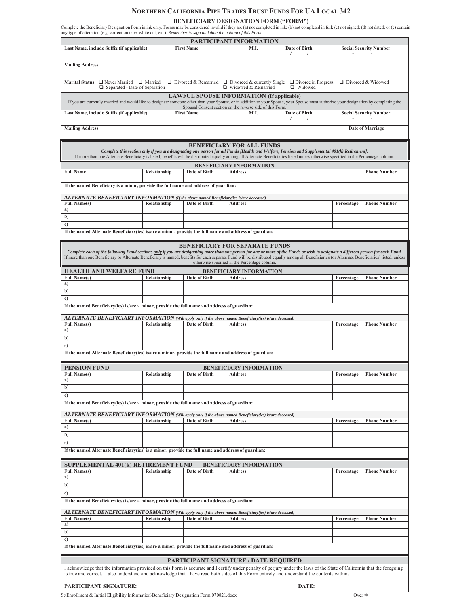## **NORTHERN CALIFORNIA PIPE TRADES TRUST FUNDS FOR UA LOCAL 342**

**BENEFICIARY DESIGNATION FORM ("FORM")**<br>Complete the Beneficiary Designation Form in ink only. Forms may be considered invalid if they are (a) not completed in ink; (b) not completed in full; (c) not signed; (d) not dated;

|                                                                                                                                                                                                                                                                                                                                                                                                                                                                                |              |                   | PARTICIPANT INFORMATION                          |                                       |                               |                               |  |
|--------------------------------------------------------------------------------------------------------------------------------------------------------------------------------------------------------------------------------------------------------------------------------------------------------------------------------------------------------------------------------------------------------------------------------------------------------------------------------|--------------|-------------------|--------------------------------------------------|---------------------------------------|-------------------------------|-------------------------------|--|
| Last Name, include Suffix (if applicable)                                                                                                                                                                                                                                                                                                                                                                                                                                      |              | <b>First Name</b> | M.I.                                             | Date of Birth<br>$\prime$<br>$\prime$ |                               | <b>Social Security Number</b> |  |
| <b>Mailing Address</b>                                                                                                                                                                                                                                                                                                                                                                                                                                                         |              |                   |                                                  |                                       |                               |                               |  |
| $\Box$ Never Married $\Box$ Married<br>□ Divorced & Remarried<br>$\Box$ Divorced & currently Single<br>$\Box$ Divorce in Progress<br>□ Divorced & Widowed<br><b>Marital Status</b><br>□ Widowed & Remarried                                                                                                                                                                                                                                                                    |              |                   |                                                  |                                       |                               |                               |  |
| □ Widowed<br>Separated - Date of Separation<br><b>LAWFUL SPOUSE INFORMATION (If applicable)</b>                                                                                                                                                                                                                                                                                                                                                                                |              |                   |                                                  |                                       |                               |                               |  |
| If you are currently married and would like to designate someone other than your Spouse, or in addition to your Spouse, your Spouse must authorize your designation by completing the<br>Spousal Consent section on the reverse side of this Form.                                                                                                                                                                                                                             |              |                   |                                                  |                                       |                               |                               |  |
| Last Name, include Suffix (if applicable)                                                                                                                                                                                                                                                                                                                                                                                                                                      |              | <b>First Name</b> | M.I.                                             | Date of Birth<br>$\prime$<br>$\prime$ | <b>Social Security Number</b> |                               |  |
| <b>Mailing Address</b>                                                                                                                                                                                                                                                                                                                                                                                                                                                         |              |                   |                                                  |                                       | Date of Marriage              |                               |  |
| <b>BENEFICIARY FOR ALL FUNDS</b><br>Complete this section only if you are designating one person for all Funds [Health and Welfare, Pension and Supplemental 401(k) Retirement].                                                                                                                                                                                                                                                                                               |              |                   |                                                  |                                       |                               |                               |  |
| If more than one Alternate Beneficiary is listed, benefits will be distributed equally among all Alternate Beneficiaries listed unless otherwise specified in the Percentage column.                                                                                                                                                                                                                                                                                           |              |                   |                                                  |                                       |                               |                               |  |
| <b>Full Name</b>                                                                                                                                                                                                                                                                                                                                                                                                                                                               | Relationship | Date of Birth     | <b>BENEFICIARY INFORMATION</b><br><b>Address</b> |                                       |                               | <b>Phone Number</b>           |  |
|                                                                                                                                                                                                                                                                                                                                                                                                                                                                                |              |                   |                                                  |                                       |                               |                               |  |
| If the named Beneficiary is a minor, provide the full name and address of guardian:                                                                                                                                                                                                                                                                                                                                                                                            |              |                   |                                                  |                                       |                               |                               |  |
| ALTERNATE BENEFICIARY INFORMATION (If the above named Beneficiary/ies is/are deceased)<br><b>Full Name(s)</b>                                                                                                                                                                                                                                                                                                                                                                  | Relationship | Date of Birth     | <b>Address</b>                                   |                                       | Percentage                    | <b>Phone Number</b>           |  |
| a)<br>b)                                                                                                                                                                                                                                                                                                                                                                                                                                                                       |              |                   |                                                  |                                       |                               |                               |  |
| c)                                                                                                                                                                                                                                                                                                                                                                                                                                                                             |              |                   |                                                  |                                       |                               |                               |  |
| If the named Alternate Beneficiary(ies) is/are a minor, provide the full name and address of guardian:                                                                                                                                                                                                                                                                                                                                                                         |              |                   |                                                  |                                       |                               |                               |  |
| <b>BENEFICIARY FOR SEPARATE FUNDS</b><br>Complete each of the following Fund sections only if you are designating more than one person for one or more of the Funds or wish to designate a different person for each Fund.<br>If more than one Beneficiary or Alternate Beneficiary is named, benefits for each separate Fund will be distributed equally among all Beneficiaries (or Alternate Beneficiaries) listed, unless<br>otherwise specified in the Percentage column. |              |                   |                                                  |                                       |                               |                               |  |
| <b>HEALTH AND WELFARE FUND</b>                                                                                                                                                                                                                                                                                                                                                                                                                                                 |              |                   | <b>BENEFICIARY INFORMATION</b>                   |                                       |                               |                               |  |
| <b>Full Name(s)</b><br>a)                                                                                                                                                                                                                                                                                                                                                                                                                                                      | Relationship | Date of Birth     | <b>Address</b>                                   |                                       | Percentage                    | <b>Phone Number</b>           |  |
| b)                                                                                                                                                                                                                                                                                                                                                                                                                                                                             |              |                   |                                                  |                                       |                               |                               |  |
| $\mathbf{c}$                                                                                                                                                                                                                                                                                                                                                                                                                                                                   |              |                   |                                                  |                                       |                               |                               |  |
| If the named Beneficiary(ies) is/are a minor, provide the full name and address of guardian:<br>ALTERNATE BENEFICIARY INFORMATION (Will apply only if the above named Beneficiary(ies) is/are deceased)                                                                                                                                                                                                                                                                        |              |                   |                                                  |                                       |                               |                               |  |
| <b>Full Name(s)</b>                                                                                                                                                                                                                                                                                                                                                                                                                                                            | Relationship | Date of Birth     | <b>Address</b>                                   |                                       | Percentage                    | <b>Phone Number</b>           |  |
| a)<br>b)                                                                                                                                                                                                                                                                                                                                                                                                                                                                       |              |                   |                                                  |                                       |                               |                               |  |
| c)                                                                                                                                                                                                                                                                                                                                                                                                                                                                             |              |                   |                                                  |                                       |                               |                               |  |
| If the named Alternate Beneficiary(ies) is/are a minor, provide the full name and address of guardian:                                                                                                                                                                                                                                                                                                                                                                         |              |                   |                                                  |                                       |                               |                               |  |
| PENSION FUND                                                                                                                                                                                                                                                                                                                                                                                                                                                                   |              |                   | <b>BENEFICIARY INFORMATION</b>                   |                                       |                               |                               |  |
| <b>Full Name(s)</b>                                                                                                                                                                                                                                                                                                                                                                                                                                                            | Relationship | Date of Birth     | <b>Address</b>                                   |                                       | Percentage                    | <b>Phone Number</b>           |  |
| b)                                                                                                                                                                                                                                                                                                                                                                                                                                                                             |              |                   |                                                  |                                       |                               |                               |  |
| c)                                                                                                                                                                                                                                                                                                                                                                                                                                                                             |              |                   |                                                  |                                       |                               |                               |  |
| If the named Beneficiary(ies) is/are a minor, provide the full name and address of guardian:                                                                                                                                                                                                                                                                                                                                                                                   |              |                   |                                                  |                                       |                               |                               |  |
| ALTERNATE BENEFICIARY INFORMATION (Will apply only if the above named Beneficiary(ies) is/are deceased)<br><b>Full Name(s)</b>                                                                                                                                                                                                                                                                                                                                                 | Relationship | Date of Birth     | <b>Address</b>                                   |                                       | Percentage                    | <b>Phone Number</b>           |  |
| a)                                                                                                                                                                                                                                                                                                                                                                                                                                                                             |              |                   |                                                  |                                       |                               |                               |  |
| b)<br>c)                                                                                                                                                                                                                                                                                                                                                                                                                                                                       |              |                   |                                                  |                                       |                               |                               |  |
| If the named Alternate Beneficiary(ies) is a minor, provide the full name and address of guardian:                                                                                                                                                                                                                                                                                                                                                                             |              |                   |                                                  |                                       |                               |                               |  |
|                                                                                                                                                                                                                                                                                                                                                                                                                                                                                |              |                   |                                                  |                                       |                               |                               |  |
| SUPPLEMENTAL 401(k) RETIREMENT FUND<br><b>Full Name(s)</b>                                                                                                                                                                                                                                                                                                                                                                                                                     | Relationship | Date of Birth     | <b>BENEFICIARY INFORMATION</b><br>Address        |                                       | Percentage                    | <b>Phone Number</b>           |  |
| a)                                                                                                                                                                                                                                                                                                                                                                                                                                                                             |              |                   |                                                  |                                       |                               |                               |  |
| b)<br>c)                                                                                                                                                                                                                                                                                                                                                                                                                                                                       |              |                   |                                                  |                                       |                               |                               |  |
| If the named Beneficiary(ies) is/are a minor, provide the full name and address of guardian:                                                                                                                                                                                                                                                                                                                                                                                   |              |                   |                                                  |                                       |                               |                               |  |
| ALTERNATE BENEFICIARY INFORMATION (Will apply only if the above named Beneficiary(ies) is/are deceased)                                                                                                                                                                                                                                                                                                                                                                        |              |                   |                                                  |                                       |                               |                               |  |
| <b>Full Name(s)</b><br>a)                                                                                                                                                                                                                                                                                                                                                                                                                                                      | Relationship | Date of Birth     | Address                                          |                                       | Percentage                    | <b>Phone Number</b>           |  |
| b)                                                                                                                                                                                                                                                                                                                                                                                                                                                                             |              |                   |                                                  |                                       |                               |                               |  |
| c)                                                                                                                                                                                                                                                                                                                                                                                                                                                                             |              |                   |                                                  |                                       |                               |                               |  |
| If the named Alternate Beneficiary(ies) is/are a minor, provide the full name and address of guardian:                                                                                                                                                                                                                                                                                                                                                                         |              |                   |                                                  |                                       |                               |                               |  |
| <b>PARTICIPANT SIGNATURE / DATE REQUIRED</b>                                                                                                                                                                                                                                                                                                                                                                                                                                   |              |                   |                                                  |                                       |                               |                               |  |
| I acknowledge that the information provided on this Form is accurate and I certify under penalty of perjury under the laws of the State of California that the foregoing<br>is true and correct. I also understand and acknowledge that I have read both sides of this Form entirely and understand the contents within.                                                                                                                                                       |              |                   |                                                  |                                       |                               |                               |  |
| PARTICIPANT SIGNATURE:<br>DATE:                                                                                                                                                                                                                                                                                                                                                                                                                                                |              |                   |                                                  |                                       |                               |                               |  |

S:\Enrollment & Initial Eligibility Information\Beneficiary Designation Form 070821.docx Over Ö